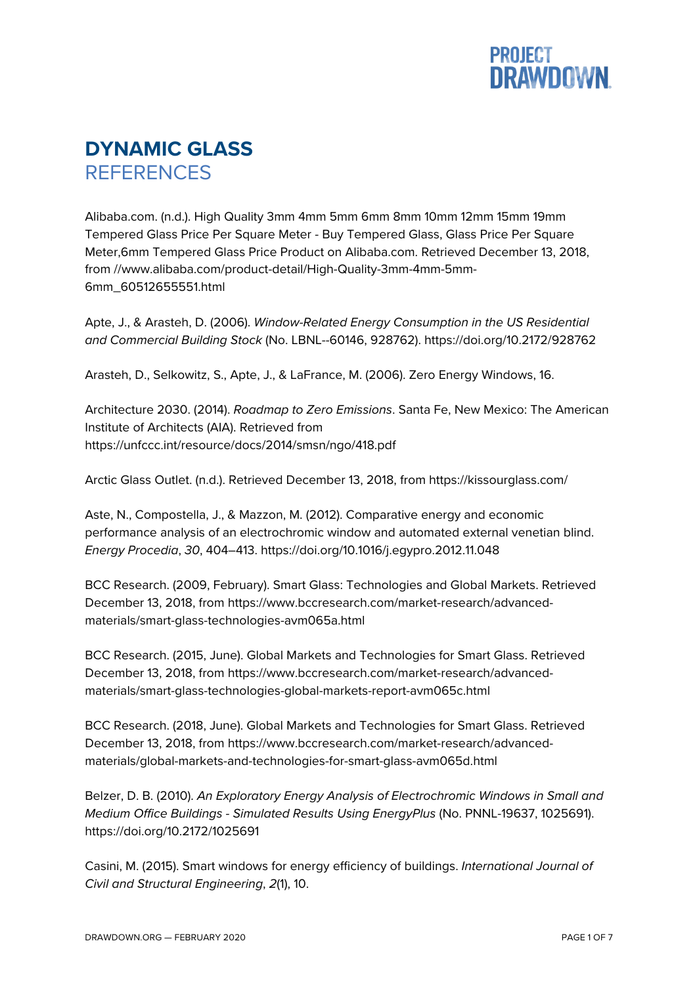

## **DYNAMIC GLASS REFERENCES**

Alibaba.com. (n.d.). High Quality 3mm 4mm 5mm 6mm 8mm 10mm 12mm 15mm 19mm Tempered Glass Price Per Square Meter - Buy Tempered Glass, Glass Price Per Square Meter,6mm Tempered Glass Price Product on Alibaba.com. Retrieved December 13, 2018, from //www.alibaba.com/product-detail/High-Quality-3mm-4mm-5mm-6mm\_60512655551.html

Apte, J., & Arasteh, D. (2006). *Window-Related Energy Consumption in the US Residential and Commercial Building Stock* (No. LBNL--60146, 928762). https://doi.org/10.2172/928762

Arasteh, D., Selkowitz, S., Apte, J., & LaFrance, M. (2006). Zero Energy Windows, 16.

Architecture 2030. (2014). *Roadmap to Zero Emissions*. Santa Fe, New Mexico: The American Institute of Architects (AIA). Retrieved from https://unfccc.int/resource/docs/2014/smsn/ngo/418.pdf

Arctic Glass Outlet. (n.d.). Retrieved December 13, 2018, from https://kissourglass.com/

Aste, N., Compostella, J., & Mazzon, M. (2012). Comparative energy and economic performance analysis of an electrochromic window and automated external venetian blind. *Energy Procedia*, *30*, 404–413. https://doi.org/10.1016/j.egypro.2012.11.048

BCC Research. (2009, February). Smart Glass: Technologies and Global Markets. Retrieved December 13, 2018, from https://www.bccresearch.com/market-research/advancedmaterials/smart-glass-technologies-avm065a.html

BCC Research. (2015, June). Global Markets and Technologies for Smart Glass. Retrieved December 13, 2018, from https://www.bccresearch.com/market-research/advancedmaterials/smart-glass-technologies-global-markets-report-avm065c.html

BCC Research. (2018, June). Global Markets and Technologies for Smart Glass. Retrieved December 13, 2018, from https://www.bccresearch.com/market-research/advancedmaterials/global-markets-and-technologies-for-smart-glass-avm065d.html

Belzer, D. B. (2010). *An Exploratory Energy Analysis of Electrochromic Windows in Small and Medium Office Buildings - Simulated Results Using EnergyPlus* (No. PNNL-19637, 1025691). https://doi.org/10.2172/1025691

Casini, M. (2015). Smart windows for energy efficiency of buildings. *International Journal of Civil and Structural Engineering*, *2*(1), 10.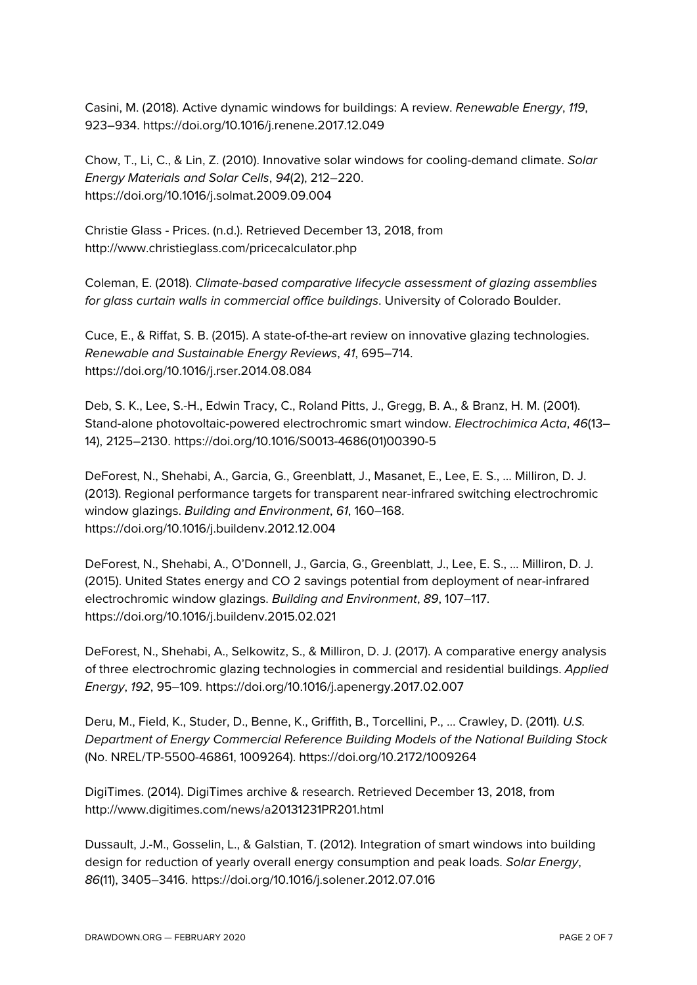Casini, M. (2018). Active dynamic windows for buildings: A review. *Renewable Energy*, *119*, 923–934. https://doi.org/10.1016/j.renene.2017.12.049

Chow, T., Li, C., & Lin, Z. (2010). Innovative solar windows for cooling-demand climate. *Solar Energy Materials and Solar Cells*, *94*(2), 212–220. https://doi.org/10.1016/j.solmat.2009.09.004

Christie Glass - Prices. (n.d.). Retrieved December 13, 2018, from http://www.christieglass.com/pricecalculator.php

Coleman, E. (2018). *Climate-based comparative lifecycle assessment of glazing assemblies for glass curtain walls in commercial office buildings*. University of Colorado Boulder.

Cuce, E., & Riffat, S. B. (2015). A state-of-the-art review on innovative glazing technologies. *Renewable and Sustainable Energy Reviews*, *41*, 695–714. https://doi.org/10.1016/j.rser.2014.08.084

Deb, S. K., Lee, S.-H., Edwin Tracy, C., Roland Pitts, J., Gregg, B. A., & Branz, H. M. (2001). Stand-alone photovoltaic-powered electrochromic smart window. *Electrochimica Acta*, *46*(13– 14), 2125–2130. https://doi.org/10.1016/S0013-4686(01)00390-5

DeForest, N., Shehabi, A., Garcia, G., Greenblatt, J., Masanet, E., Lee, E. S., … Milliron, D. J. (2013). Regional performance targets for transparent near-infrared switching electrochromic window glazings. *Building and Environment*, *61*, 160–168. https://doi.org/10.1016/j.buildenv.2012.12.004

DeForest, N., Shehabi, A., O'Donnell, J., Garcia, G., Greenblatt, J., Lee, E. S., … Milliron, D. J. (2015). United States energy and CO 2 savings potential from deployment of near-infrared electrochromic window glazings. *Building and Environment*, *89*, 107–117. https://doi.org/10.1016/j.buildenv.2015.02.021

DeForest, N., Shehabi, A., Selkowitz, S., & Milliron, D. J. (2017). A comparative energy analysis of three electrochromic glazing technologies in commercial and residential buildings. *Applied Energy*, *192*, 95–109. https://doi.org/10.1016/j.apenergy.2017.02.007

Deru, M., Field, K., Studer, D., Benne, K., Griffith, B., Torcellini, P., … Crawley, D. (2011). *U.S. Department of Energy Commercial Reference Building Models of the National Building Stock* (No. NREL/TP-5500-46861, 1009264). https://doi.org/10.2172/1009264

DigiTimes. (2014). DigiTimes archive & research. Retrieved December 13, 2018, from http://www.digitimes.com/news/a20131231PR201.html

Dussault, J.-M., Gosselin, L., & Galstian, T. (2012). Integration of smart windows into building design for reduction of yearly overall energy consumption and peak loads. *Solar Energy*, *86*(11), 3405–3416. https://doi.org/10.1016/j.solener.2012.07.016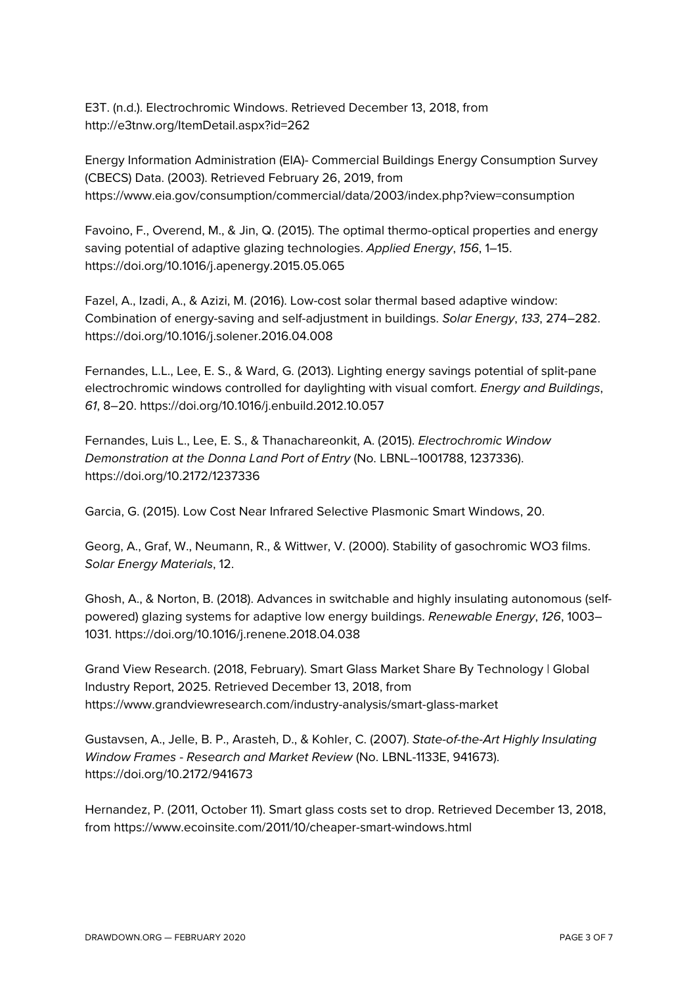E3T. (n.d.). Electrochromic Windows. Retrieved December 13, 2018, from http://e3tnw.org/ItemDetail.aspx?id=262

Energy Information Administration (EIA)- Commercial Buildings Energy Consumption Survey (CBECS) Data. (2003). Retrieved February 26, 2019, from https://www.eia.gov/consumption/commercial/data/2003/index.php?view=consumption

Favoino, F., Overend, M., & Jin, Q. (2015). The optimal thermo-optical properties and energy saving potential of adaptive glazing technologies. *Applied Energy*, *156*, 1–15. https://doi.org/10.1016/j.apenergy.2015.05.065

Fazel, A., Izadi, A., & Azizi, M. (2016). Low-cost solar thermal based adaptive window: Combination of energy-saving and self-adjustment in buildings. *Solar Energy*, *133*, 274–282. https://doi.org/10.1016/j.solener.2016.04.008

Fernandes, L.L., Lee, E. S., & Ward, G. (2013). Lighting energy savings potential of split-pane electrochromic windows controlled for daylighting with visual comfort. *Energy and Buildings*, *61*, 8–20. https://doi.org/10.1016/j.enbuild.2012.10.057

Fernandes, Luis L., Lee, E. S., & Thanachareonkit, A. (2015). *Electrochromic Window Demonstration at the Donna Land Port of Entry* (No. LBNL--1001788, 1237336). https://doi.org/10.2172/1237336

Garcia, G. (2015). Low Cost Near Infrared Selective Plasmonic Smart Windows, 20.

Georg, A., Graf, W., Neumann, R., & Wittwer, V. (2000). Stability of gasochromic WO3 films. *Solar Energy Materials*, 12.

Ghosh, A., & Norton, B. (2018). Advances in switchable and highly insulating autonomous (selfpowered) glazing systems for adaptive low energy buildings. *Renewable Energy*, *126*, 1003– 1031. https://doi.org/10.1016/j.renene.2018.04.038

Grand View Research. (2018, February). Smart Glass Market Share By Technology | Global Industry Report, 2025. Retrieved December 13, 2018, from https://www.grandviewresearch.com/industry-analysis/smart-glass-market

Gustavsen, A., Jelle, B. P., Arasteh, D., & Kohler, C. (2007). *State-of-the-Art Highly Insulating Window Frames - Research and Market Review* (No. LBNL-1133E, 941673). https://doi.org/10.2172/941673

Hernandez, P. (2011, October 11). Smart glass costs set to drop. Retrieved December 13, 2018, from https://www.ecoinsite.com/2011/10/cheaper-smart-windows.html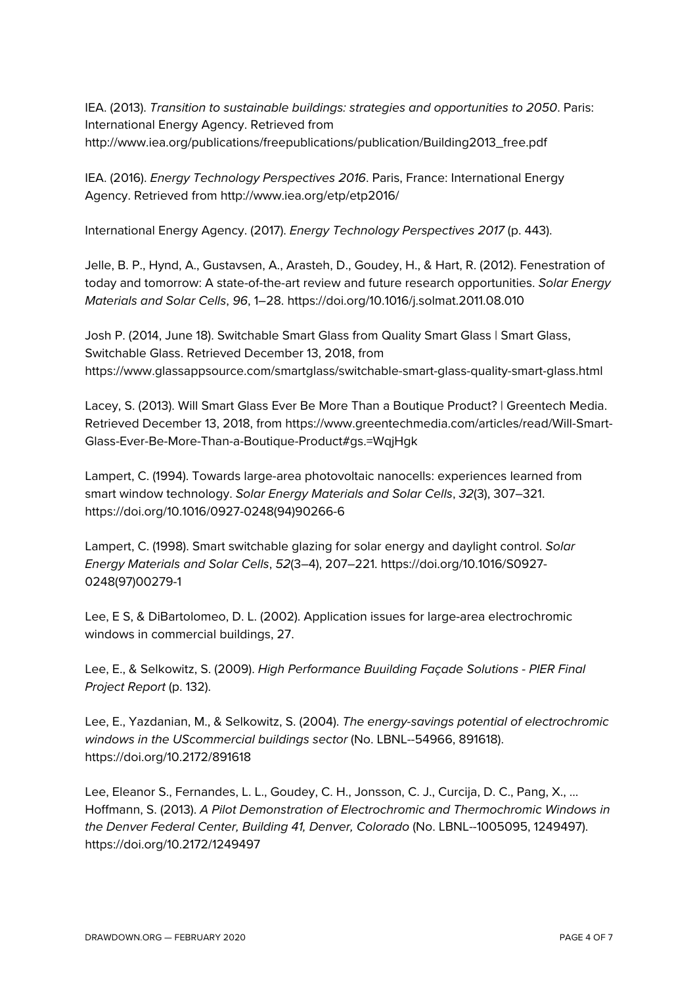IEA. (2013). *Transition to sustainable buildings: strategies and opportunities to 2050*. Paris: International Energy Agency. Retrieved from http://www.iea.org/publications/freepublications/publication/Building2013\_free.pdf

IEA. (2016). *Energy Technology Perspectives 2016*. Paris, France: International Energy Agency. Retrieved from http://www.iea.org/etp/etp2016/

International Energy Agency. (2017). *Energy Technology Perspectives 2017* (p. 443).

Jelle, B. P., Hynd, A., Gustavsen, A., Arasteh, D., Goudey, H., & Hart, R. (2012). Fenestration of today and tomorrow: A state-of-the-art review and future research opportunities. *Solar Energy Materials and Solar Cells*, *96*, 1–28. https://doi.org/10.1016/j.solmat.2011.08.010

Josh P. (2014, June 18). Switchable Smart Glass from Quality Smart Glass | Smart Glass, Switchable Glass. Retrieved December 13, 2018, from https://www.glassappsource.com/smartglass/switchable-smart-glass-quality-smart-glass.html

Lacey, S. (2013). Will Smart Glass Ever Be More Than a Boutique Product? | Greentech Media. Retrieved December 13, 2018, from https://www.greentechmedia.com/articles/read/Will-Smart-Glass-Ever-Be-More-Than-a-Boutique-Product#gs.=WqjHgk

Lampert, C. (1994). Towards large-area photovoltaic nanocells: experiences learned from smart window technology. *Solar Energy Materials and Solar Cells*, *32*(3), 307–321. https://doi.org/10.1016/0927-0248(94)90266-6

Lampert, C. (1998). Smart switchable glazing for solar energy and daylight control. *Solar Energy Materials and Solar Cells*, *52*(3–4), 207–221. https://doi.org/10.1016/S0927- 0248(97)00279-1

Lee, E S, & DiBartolomeo, D. L. (2002). Application issues for large-area electrochromic windows in commercial buildings, 27.

Lee, E., & Selkowitz, S. (2009). *High Performance Buuilding Façade Solutions - PIER Final Project Report* (p. 132).

Lee, E., Yazdanian, M., & Selkowitz, S. (2004). *The energy-savings potential of electrochromic windows in the UScommercial buildings sector* (No. LBNL--54966, 891618). https://doi.org/10.2172/891618

Lee, Eleanor S., Fernandes, L. L., Goudey, C. H., Jonsson, C. J., Curcija, D. C., Pang, X., … Hoffmann, S. (2013). *A Pilot Demonstration of Electrochromic and Thermochromic Windows in the Denver Federal Center, Building 41, Denver, Colorado* (No. LBNL--1005095, 1249497). https://doi.org/10.2172/1249497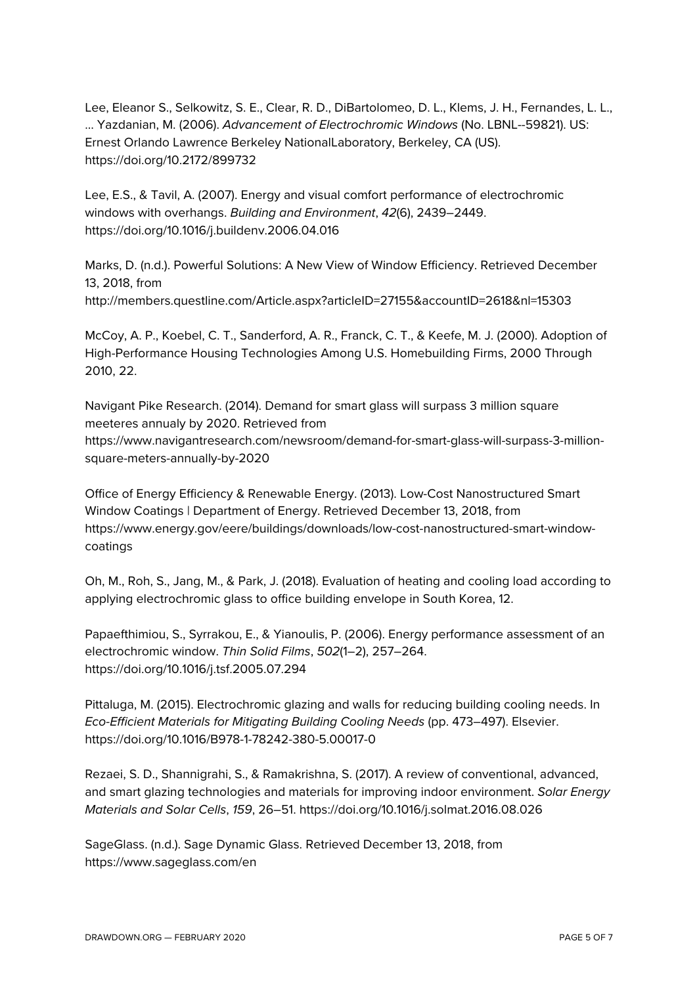Lee, Eleanor S., Selkowitz, S. E., Clear, R. D., DiBartolomeo, D. L., Klems, J. H., Fernandes, L. L., … Yazdanian, M. (2006). *Advancement of Electrochromic Windows* (No. LBNL--59821). US: Ernest Orlando Lawrence Berkeley NationalLaboratory, Berkeley, CA (US). https://doi.org/10.2172/899732

Lee, E.S., & Tavil, A. (2007). Energy and visual comfort performance of electrochromic windows with overhangs. *Building and Environment*, *42*(6), 2439–2449. https://doi.org/10.1016/j.buildenv.2006.04.016

Marks, D. (n.d.). Powerful Solutions: A New View of Window Efficiency. Retrieved December 13, 2018, from http://members.questline.com/Article.aspx?articleID=27155&accountID=2618&nl=15303

McCoy, A. P., Koebel, C. T., Sanderford, A. R., Franck, C. T., & Keefe, M. J. (2000). Adoption of High-Performance Housing Technologies Among U.S. Homebuilding Firms, 2000 Through 2010, 22.

Navigant Pike Research. (2014). Demand for smart glass will surpass 3 million square meeteres annualy by 2020. Retrieved from https://www.navigantresearch.com/newsroom/demand-for-smart-glass-will-surpass-3-millionsquare-meters-annually-by-2020

Office of Energy Efficiency & Renewable Energy. (2013). Low-Cost Nanostructured Smart Window Coatings | Department of Energy. Retrieved December 13, 2018, from https://www.energy.gov/eere/buildings/downloads/low-cost-nanostructured-smart-windowcoatings

Oh, M., Roh, S., Jang, M., & Park, J. (2018). Evaluation of heating and cooling load according to applying electrochromic glass to office building envelope in South Korea, 12.

Papaefthimiou, S., Syrrakou, E., & Yianoulis, P. (2006). Energy performance assessment of an electrochromic window. *Thin Solid Films*, *502*(1–2), 257–264. https://doi.org/10.1016/j.tsf.2005.07.294

Pittaluga, M. (2015). Electrochromic glazing and walls for reducing building cooling needs. In *Eco-Efficient Materials for Mitigating Building Cooling Needs* (pp. 473–497). Elsevier. https://doi.org/10.1016/B978-1-78242-380-5.00017-0

Rezaei, S. D., Shannigrahi, S., & Ramakrishna, S. (2017). A review of conventional, advanced, and smart glazing technologies and materials for improving indoor environment. *Solar Energy Materials and Solar Cells*, *159*, 26–51. https://doi.org/10.1016/j.solmat.2016.08.026

SageGlass. (n.d.). Sage Dynamic Glass. Retrieved December 13, 2018, from https://www.sageglass.com/en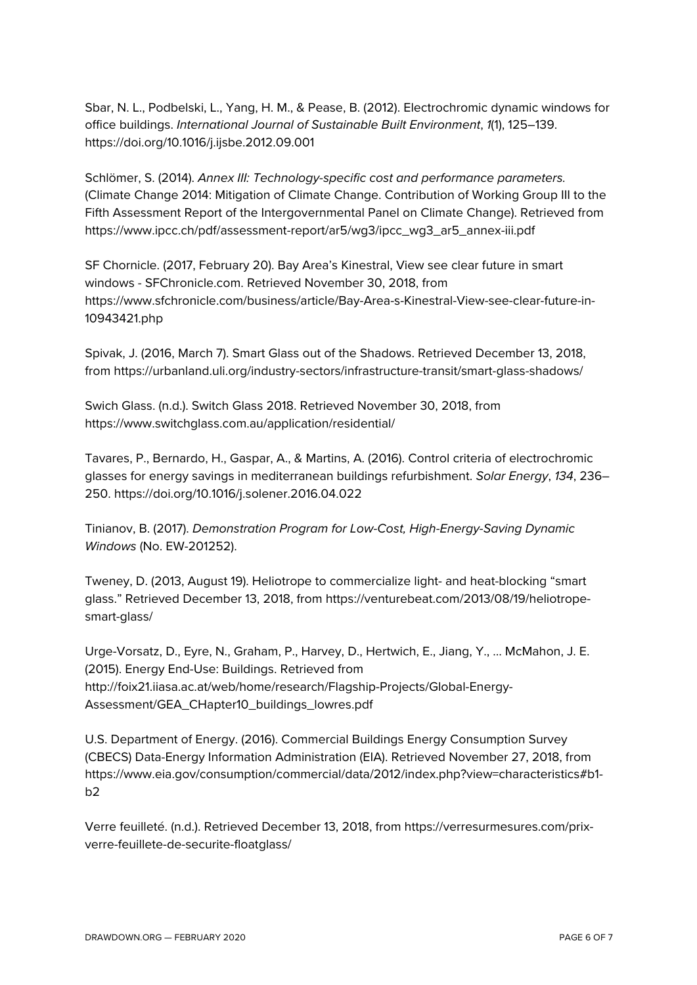Sbar, N. L., Podbelski, L., Yang, H. M., & Pease, B. (2012). Electrochromic dynamic windows for office buildings. *International Journal of Sustainable Built Environment*, *1*(1), 125–139. https://doi.org/10.1016/j.ijsbe.2012.09.001

Schlömer, S. (2014). *Annex III: Technology-specific cost and performance parameters.* (Climate Change 2014: Mitigation of Climate Change. Contribution of Working Group III to the Fifth Assessment Report of the Intergovernmental Panel on Climate Change). Retrieved from https://www.ipcc.ch/pdf/assessment-report/ar5/wg3/ipcc\_wg3\_ar5\_annex-iii.pdf

SF Chornicle. (2017, February 20). Bay Area's Kinestral, View see clear future in smart windows - SFChronicle.com. Retrieved November 30, 2018, from https://www.sfchronicle.com/business/article/Bay-Area-s-Kinestral-View-see-clear-future-in-10943421.php

Spivak, J. (2016, March 7). Smart Glass out of the Shadows. Retrieved December 13, 2018, from https://urbanland.uli.org/industry-sectors/infrastructure-transit/smart-glass-shadows/

Swich Glass. (n.d.). Switch Glass 2018. Retrieved November 30, 2018, from https://www.switchglass.com.au/application/residential/

Tavares, P., Bernardo, H., Gaspar, A., & Martins, A. (2016). Control criteria of electrochromic glasses for energy savings in mediterranean buildings refurbishment. *Solar Energy*, *134*, 236– 250. https://doi.org/10.1016/j.solener.2016.04.022

Tinianov, B. (2017). *Demonstration Program for Low-Cost, High-Energy-Saving Dynamic Windows* (No. EW-201252).

Tweney, D. (2013, August 19). Heliotrope to commercialize light- and heat-blocking "smart glass." Retrieved December 13, 2018, from https://venturebeat.com/2013/08/19/heliotropesmart-glass/

Urge-Vorsatz, D., Eyre, N., Graham, P., Harvey, D., Hertwich, E., Jiang, Y., … McMahon, J. E. (2015). Energy End-Use: Buildings. Retrieved from http://foix21.iiasa.ac.at/web/home/research/Flagship-Projects/Global-Energy-Assessment/GEA\_CHapter10\_buildings\_lowres.pdf

U.S. Department of Energy. (2016). Commercial Buildings Energy Consumption Survey (CBECS) Data-Energy Information Administration (EIA). Retrieved November 27, 2018, from https://www.eia.gov/consumption/commercial/data/2012/index.php?view=characteristics#b1  $b2$ 

Verre feuilleté. (n.d.). Retrieved December 13, 2018, from https://verresurmesures.com/prixverre-feuillete-de-securite-floatglass/